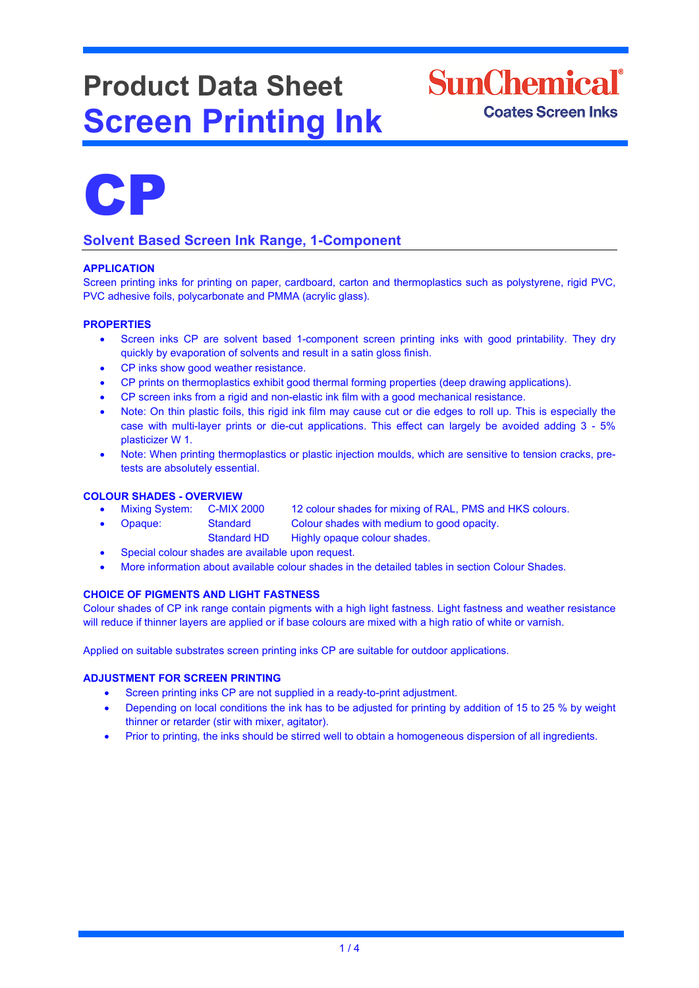# **Product Data Sheet Screen Printing Ink**





# **Solvent Based Screen Ink Range, 1-Component**

# **APPLICATION**

Screen printing inks for printing on paper, cardboard, carton and thermoplastics such as polystyrene, rigid PVC, PVC adhesive foils, polycarbonate and PMMA (acrylic glass).

# **PROPERTIES**

- Screen inks CP are solvent based 1-component screen printing inks with good printability. They dry quickly by evaporation of solvents and result in a satin gloss finish.
- CP inks show good weather resistance.
- CP prints on thermoplastics exhibit good thermal forming properties (deep drawing applications).
- CP screen inks from a rigid and non-elastic ink film with a good mechanical resistance.
- Note: On thin plastic foils, this rigid ink film may cause cut or die edges to roll up. This is especially the case with multi-layer prints or die-cut applications. This effect can largely be avoided adding 3 - 5% plasticizer W 1.
- Note: When printing thermoplastics or plastic injection moulds, which are sensitive to tension cracks, pretests are absolutely essential.

# **COLOUR SHADES - OVERVIEW**

- Mixing System: C-MIX 2000 12 colour shades for mixing of RAL, PMS and HKS colours.
	- Opaque: Standard Colour shades with medium to good opacity.
		- Standard HD Highly opaque colour shades.
- Special colour shades are available upon request.
- More information about available colour shades in the detailed tables in section Colour Shades.

# **CHOICE OF PIGMENTS AND LIGHT FASTNESS**

Colour shades of CP ink range contain pigments with a high light fastness. Light fastness and weather resistance will reduce if thinner layers are applied or if base colours are mixed with a high ratio of white or varnish.

Applied on suitable substrates screen printing inks CP are suitable for outdoor applications.

# **ADJUSTMENT FOR SCREEN PRINTING**

- Screen printing inks CP are not supplied in a ready-to-print adjustment.
- Depending on local conditions the ink has to be adjusted for printing by addition of 15 to 25 % by weight thinner or retarder (stir with mixer, agitator).
- Prior to printing, the inks should be stirred well to obtain a homogeneous dispersion of all ingredients.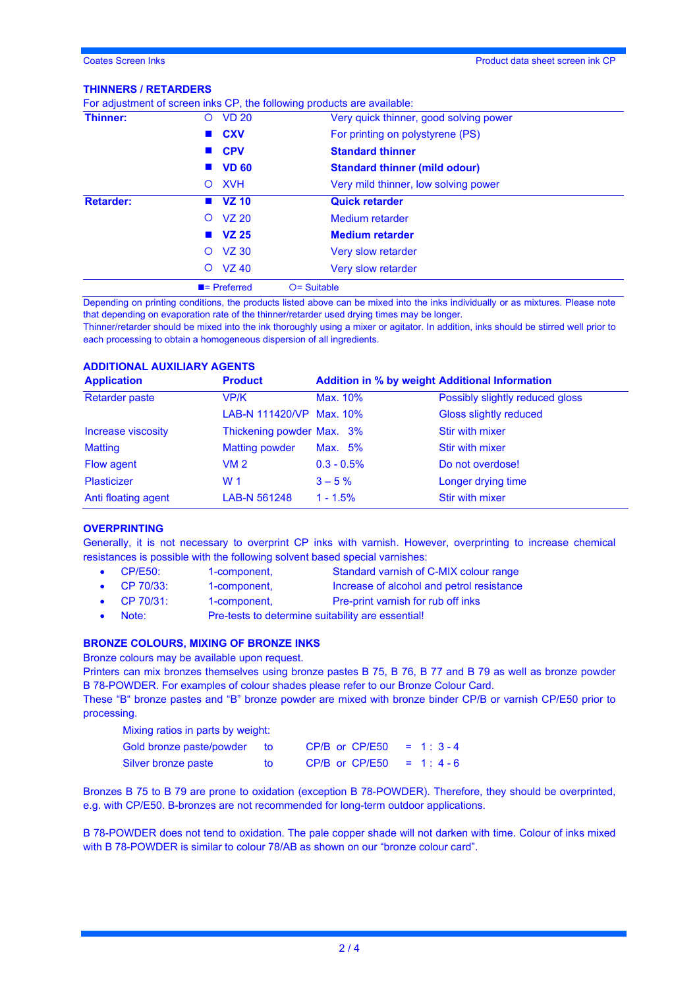#### **THINNERS / RETARDERS**

|                  | $\blacksquare$ = Preferred | $O =$ Suitable                                                          |
|------------------|----------------------------|-------------------------------------------------------------------------|
|                  | <b>VZ 40</b><br>$\circ$    | Very slow retarder                                                      |
|                  | $VZ$ 30<br>$\circ$         | Very slow retarder                                                      |
|                  | <b>VZ 25</b>               | <b>Medium retarder</b>                                                  |
|                  | $O$ $VZ$ 20                | <b>Medium</b> retarder                                                  |
| <b>Retarder:</b> | $\blacksquare$ VZ 10       | <b>Quick retarder</b>                                                   |
|                  | <b>XVH</b><br>$\circ$      | Very mild thinner, low solving power                                    |
|                  | <b>VD 60</b>               | <b>Standard thinner (mild odour)</b>                                    |
|                  | ■ CPV                      | <b>Standard thinner</b>                                                 |
|                  | <b>CXV</b>                 | For printing on polystyrene (PS)                                        |
| Thinner:         | O VD 20                    | Very quick thinner, good solving power                                  |
|                  |                            | For adjustment of screen inks CP, the following products are available: |

Depending on printing conditions, the products listed above can be mixed into the inks individually or as mixtures. Please note that depending on evaporation rate of the thinner/retarder used drying times may be longer.

Thinner/retarder should be mixed into the ink thoroughly using a mixer or agitator. In addition, inks should be stirred well prior to each processing to obtain a homogeneous dispersion of all ingredients.

# **ADDITIONAL AUXILIARY AGENTS**

| <b>Application</b>    | <b>Product</b>            | <b>Addition in % by weight Additional Information</b> |                                 |
|-----------------------|---------------------------|-------------------------------------------------------|---------------------------------|
| <b>Retarder paste</b> | VP/K                      | Max. 10%                                              | Possibly slightly reduced gloss |
|                       | LAB-N 111420/VP Max. 10%  |                                                       | Gloss slightly reduced          |
| Increase viscosity    | Thickening powder Max. 3% |                                                       | Stir with mixer                 |
| <b>Matting</b>        | <b>Matting powder</b>     | Max. 5%                                               | Stir with mixer                 |
| Flow agent            | VM <sub>2</sub>           | $0.3 - 0.5\%$                                         | Do not overdose!                |
| <b>Plasticizer</b>    | W <sub>1</sub>            | $3 - 5\%$                                             | Longer drying time              |
| Anti floating agent   | LAB-N 561248              | $1 - 1.5%$                                            | Stir with mixer                 |

#### **OVERPRINTING**

Generally, it is not necessary to overprint CP inks with varnish. However, overprinting to increase chemical resistances is possible with the following solvent based special varnishes:

- CP/E50: 1-component, Standard varnish of C-MIX colour range
- CP 70/33: 1-component, Increase of alcohol and petrol resistance
- CP 70/31: 1-component, Pre-print varnish for rub off inks
- Note: Pre-tests to determine suitability are essential!

# **BRONZE COLOURS, MIXING OF BRONZE INKS**

Bronze colours may be available upon request.

Printers can mix bronzes themselves using bronze pastes B 75, B 76, B 77 and B 79 as well as bronze powder B 78-POWDER. For examples of colour shades please refer to our Bronze Colour Card.

These "B" bronze pastes and "B" bronze powder are mixed with bronze binder CP/B or varnish CP/E50 prior to processing. Mixing ratios in parts by weight:

| Mixing ratios in parts by weight: |     |                |            |  |
|-----------------------------------|-----|----------------|------------|--|
| Gold bronze paste/powder          | to. | CP/B or CP/E50 | $= 1:3-4$  |  |
| Silver bronze paste               | to. | CP/B or CP/E50 | $= 1: 4-6$ |  |

Bronzes B 75 to B 79 are prone to oxidation (exception B 78-POWDER). Therefore, they should be overprinted, e.g. with CP/E50. B-bronzes are not recommended for long-term outdoor applications.

B 78-POWDER does not tend to oxidation. The pale copper shade will not darken with time. Colour of inks mixed with B 78-POWDER is similar to colour 78/AB as shown on our "bronze colour card".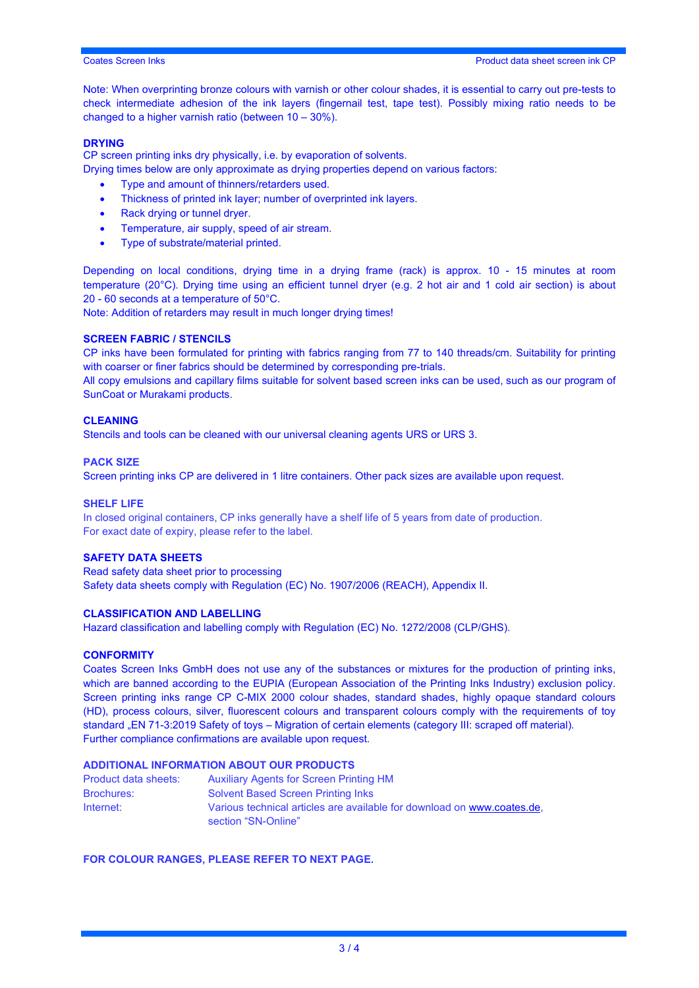Note: When overprinting bronze colours with varnish or other colour shades, it is essential to carry out pre-tests to check intermediate adhesion of the ink layers (fingernail test, tape test). Possibly mixing ratio needs to be changed to a higher varnish ratio (between 10 – 30%).

### **DRYING**

CP screen printing inks dry physically, i.e. by evaporation of solvents.

Drying times below are only approximate as drying properties depend on various factors:

- Type and amount of thinners/retarders used.
- Thickness of printed ink layer; number of overprinted ink layers.
- Rack drying or tunnel dryer.
- Temperature, air supply, speed of air stream.
- Type of substrate/material printed.

Depending on local conditions, drying time in a drying frame (rack) is approx. 10 - 15 minutes at room temperature (20°C). Drying time using an efficient tunnel dryer (e.g. 2 hot air and 1 cold air section) is about 20 - 60 seconds at a temperature of 50°C.

Note: Addition of retarders may result in much longer drying times!

#### **SCREEN FABRIC / STENCILS**

CP inks have been formulated for printing with fabrics ranging from 77 to 140 threads/cm. Suitability for printing with coarser or finer fabrics should be determined by corresponding pre-trials.

All copy emulsions and capillary films suitable for solvent based screen inks can be used, such as our program of SunCoat or Murakami products.

#### **CLEANING**

Stencils and tools can be cleaned with our universal cleaning agents URS or URS 3.

#### **PACK SIZE**

Screen printing inks CP are delivered in 1 litre containers. Other pack sizes are available upon request.

#### **SHELF LIFE**

In closed original containers, CP inks generally have a shelf life of 5 years from date of production. For exact date of expiry, please refer to the label.

#### **SAFETY DATA SHEETS**

Read safety data sheet prior to processing Safety data sheets comply with Regulation (EC) No. 1907/2006 (REACH), Appendix II.

#### **CLASSIFICATION AND LABELLING**

Hazard classification and labelling comply with Regulation (EC) No. 1272/2008 (CLP/GHS).

#### **CONFORMITY**

Coates Screen Inks GmbH does not use any of the substances or mixtures for the production of printing inks, which are banned according to the EUPIA (European Association of the Printing Inks Industry) exclusion policy. Screen printing inks range CP C-MIX 2000 colour shades, standard shades, highly opaque standard colours (HD), process colours, silver, fluorescent colours and transparent colours comply with the requirements of toy standard "EN 71-3:2019 Safety of toys – Migration of certain elements (category III: scraped off material). Further compliance confirmations are available upon request.

# **ADDITIONAL INFORMATION ABOUT OUR PRODUCTS**

| Product data sheets: | <b>Auxiliary Agents for Screen Printing HM</b>                                                 |
|----------------------|------------------------------------------------------------------------------------------------|
| <b>Brochures:</b>    | <b>Solvent Based Screen Printing Inks</b>                                                      |
| Internet:            | Various technical articles are available for download on www.coates.de.<br>section "SN-Online" |

#### **FOR COLOUR RANGES, PLEASE REFER TO NEXT PAGE.**